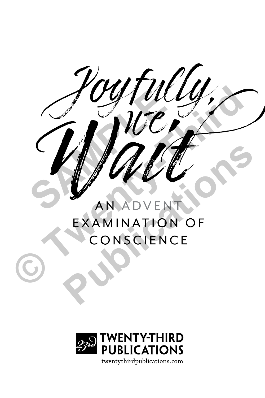$\int\limits_{\mathcal{M}}\int\limits_{\mathcal{M}}\int\limits_{\mathcal{M}}\int\limits_{\mathcal{M}}\int\limits_{\mathcal{M}}\int\limits_{\mathcal{M}}\int\limits_{\mathcal{M}}\int\limits_{\mathcal{M}}\int\limits_{\mathcal{M}}\int\limits_{\mathcal{M}}\int\limits_{\mathcal{M}}\int\limits_{\mathcal{M}}\int\limits_{\mathcal{M}}\int\limits_{\mathcal{M}}\int\limits_{\mathcal{M}}\int\limits_{\mathcal{M}}\int\limits_{\mathcal{M}}\int\limits_{\mathcal{M}}\int\limits_{\mathcal{M}}\int\limits_{\mathcal{M}}\$ CONSCIENCE **PUBLICATION** 

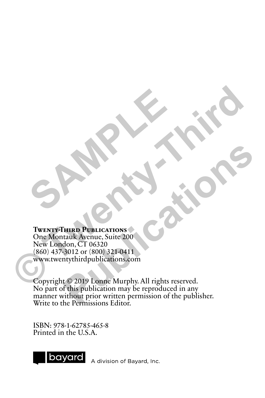#### **Twenty-Third Publications**

One Montauk Avenue, Suite 200 New London, CT 06320 (860) 437-3012 or (800) 321-0411 www.twentythirdpublications.com **Control and Archives Control and Archives Control and Archives Control and Archives Control and Archives Control and Archives Control and Archives Control and Archives Control and Archives Control and Archives Control and** 

SAMPLE 1

Copyright © 2019 Lonne Murphy. All rights reserved. No part of this publication may be reproduced in any manner without prior written permission of the publisher. Write to the Permissions Editor. **Purp Publications**<br> **Purp Publications**<br> **Example Publications**<br> **Purp Publications <br>
Agont CT 06320**<br> **Publications 200**<br> **Publications CHIPP**<br> **Publication may be reproduced in any**<br> **Publication may be reproduced in an** 

ISBN: 978-1-62785-465-8 Printed in the U.S.A.



A division of Bayard, Inc.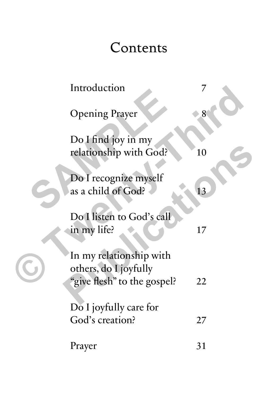## Contents

| Introduction                                                                    |    |
|---------------------------------------------------------------------------------|----|
| <b>Opening Prayer</b>                                                           | 8  |
| Do I find joy in my<br>relationship with God?                                   | 10 |
| Do I recognize myself<br>as a child of God?                                     | 13 |
| Do I listen to God's call<br>in my life?                                        | 17 |
| In my relationship with<br>others, do I joyfully<br>"give flesh" to the gospel? | 22 |
| Do I joyfully care for<br>God's creation?                                       | 27 |
| Prayer                                                                          | 31 |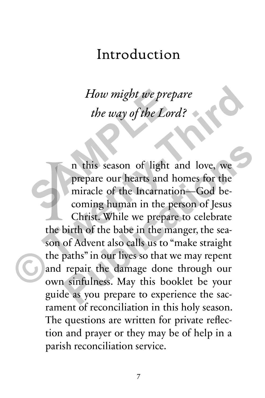### Introduction

*How might we prepare the way of the Lord?*

the b n this season of light and love, we prepare our hearts and homes for the miracle of the Incarnation—God becoming human in the person of Jesus Christ. While we prepare to celebrate the birth of the babe in the manger, the season of Advent also calls us to "make straight the paths" in our lives so that we may repent and repair the damage done through our own sinfulness. May this booklet be your guide as you prepare to experience the sacrament of reconciliation in this holy season. The questions are written for private reflection and prayer or they may be of help in a parish reconciliation service. How might we prep<br>the way of the Lore<br>the way of the Lore<br>n this season of light<br>prepare our hearts and h<br>miracle of the Incarnation<br>coming human in the pe **Example 18 The Example 18 The Using School of the Lord?**<br> **Example 2013**<br> **Example 18 The Using School of the Incarnation—God becoming human in the person of Jesus<br>
Christ. While we prepare to celebrate<br>
the birth of the** n this season of light and love, we<br>prepare our hearts and homes for the<br>miracle of the Incarnation—God be-<br>coming human in the person of Jesus<br>Christ. While we prepare to celebrate<br>birth of the babe in the manger, the sea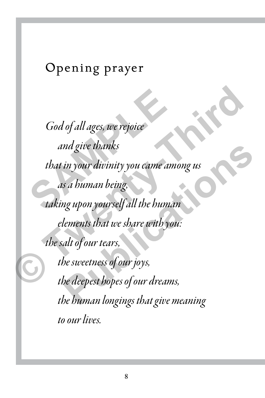#### Opening prayer

*God of all ages, we rejoice and give thanks that in your divinity you came among us as a human being, taking upon yourself all the human elements that we share with you: the salt of our tears, the sweetness of our joys, the deepest hopes of our dreams, the human longings that give meaning to our lives.* God of all ages, we rejoice<br>and give thanks<br>that in your divinity you came am<br>as a human being,<br>taking upon yourself all the human Cod of all ages, we rejoice<br>and give thanks<br>that in your divinity you came among us<br>as a human being,<br>taking upon yourself all the human<br>elements that we share with you:<br>the salt of our tears,<br>the sweetness of our joys,<br>th nd give thanks<br>
in your divinity you came among us<br>
s a human being,<br>
ng upon yourself all the human<br>
lements that we share with you:<br>
alt of our tears,<br>
he sweetness of our joys,<br>
he deepest hopes of our dreams,<br>
he human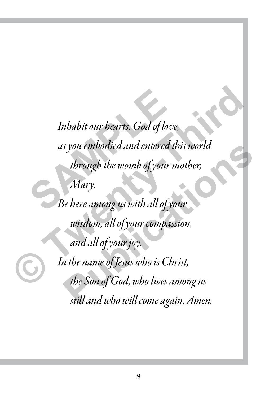*Inhabit our hearts, God of love, as you embodied and entered this world through the womb of your mother, Mary. Be here among us with all of your wisdom, all of your compassion, and all of your joy. In the name of Jesus who is Christ, the Son of God, who lives among us still and who will come again. Amen.* Inhabit our bearts, God of love<br>as you embodied and entered the<br>through the womb of your m<br>Mary.<br>Be here among us with all of yo Inhabit our bearts, God of love,<br>as you embodied and entered this world<br>through the womb of your mother,<br>Mary.<br>Be here among us with all of your<br>wisdom, all of your compassion,<br>and all of your joy.<br>In the name of Jesus who s you embodied and entered this world<br>through the womb of your mother,<br>Mary.<br>Re here among us with all of your<br>wisdom, all of your compassion,<br>and all of your joy.<br>In the name of Jesus who is Christ,<br>the Son of God, who li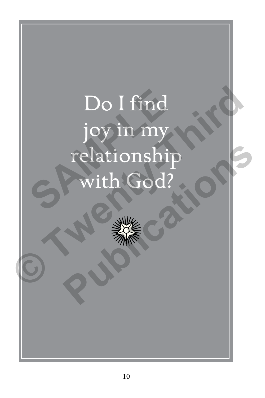# Do I find joy in my relationship with God? Do I find<br>joy in my<br>relationship<br>with God? Do I find<br>joy in my<br>relationship<br>with God?<br>Sand the state of the state of the Song<br>state of the state of the state of the state of the state of the state of the state of the state of the state of the state of the state of **Publications**

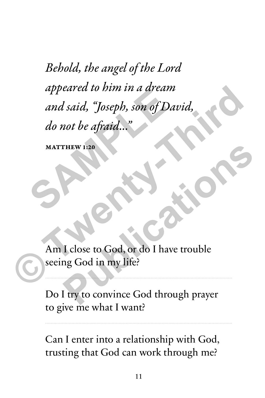*Behold, the angel of the Lord appeared to him in a dream and said, "Joseph, son of David, do not be afraid…"*  appeared to him in a dream<br>and said, "Joseph, son of Dat<br>do not be afraid..."<br>MATTHEW 1:20 appeared to him in a dream<br>and said, "Joseph, son of David,<br>do not be afraid..."<br>MATTHEW 120<br>MATTHEW 120<br>Am I close to God, or do I have trouble<br>seeing God in my life?

MATTHEW 1:20

Am I close to God, or do I have trouble seeing God in my life? **PHEW 1.20**<br> **Publications 1.20**<br> **Publications in the Second Act of the United Seconds in the Second Second Seconds 1.1 and 2.00 and 2.00 publications in the Second Second Seconds 1.1 and 2.00 publications and 2.00 public** 

Do I try to convince God through prayer to give me what I want?

Can I enter into a relationship with God, trusting that God can work through me?